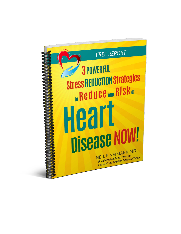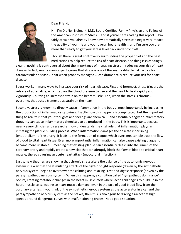

Dear Friend,

Hi! I'm Dr. Neil Neimark, M.D. Board Certified Family Physician and Fellow of the American Institute of Stress … and if you're here reading this report … I'm fairly certain you already know how dramatically stress can negatively impact the quality of your life and your overall heart health … and I'm sure you are more than ready to get your stress level back under control!

Though there is great controversy surrounding the proper diet and the best medications to help reduce the risk of heart disease, one thing is exceedingly

clear … nothing is controversial about the importance of managing stress in reducing your risk of heart disease. In fact, nearly every expert agrees that stress is one of the key modifiable risk factors for cardiovascular disease … that when properly managed … can dramatically reduce your risk for heart disease.

Stress works in many ways to increase your risk of heart disease. First and foremost, stress triggers the release of adrenaline, which causes the blood pressure to rise and the heart to beat rapidly and vigorously … putting an increased strain on the heart muscle. And, when the stress is chronic … overtime, that puts a tremendous strain on the heart.

Secondly, stress is known to directly cause inflammation in the body … most importantly by increasing the production of inflammatory cytokines. Exactly how this happens is complicated, but the important thing to realize is that your thoughts and feelings are chemical … and essentially angry or inflammatory thoughts can cause inflammatory chemicals to be produced in the body. This is important, because nearly every clinician and researcher now understands the vital role that inflammation plays in initiating the plaque building process. When inflammation damages the delicate inner lining (endothelium) of the artery, it leads to the formation of plaque, which overtime, can obstruct the flow of blood to vital heart tissue. Even more importantly, inflammation can also cause existing plaque to become more unstable … meaning that existing plaque can essentially "leak" into the lumen of the coronary artery and rapidly create a new clot that can abruptly block the flow of blood to critical heart muscle, thereby causing an acute heart attack (myocardial infarction).

Lastly, new theories are showing that chronic stress alters the balance of the autonomic nervous system in a way that the stimulating effects of the fight-or-flight response (driven by the sympathetic nervous system) begin to overpower the calming and relaxing "rest-and-digest response (driven by the parasympathetic nervous system). When this happens, a condition called "sympathetic dominance" occurs, creating metabolic changes in the heart muscle itself where lactic acid begins to build up in the heart muscle cells, leading to heart muscle damage, even in the face of good blood flow from the coronary arteries. If you think of the sympathetic nervous system as the accelerator in a car and the parasympathetic nervous system as the brakes, then this is analogous to driving a racecar at high speeds around dangerous curves with malfunctioning brakes! Not a good situation.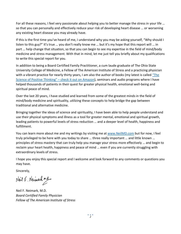For all these reasons, I feel very passionate about helping you to better manage the stress in your life … so that you can personally and effectively reduce your risk of developing heart disease … or worsening any existing heart disease you may already have.

If this is the first time you've heard of me, I understand why you may be asking yourself, "Why should I listen to this guy?" It's true … you don't really know me … but it's my hope that this report will … in part … help change that situation, so that you can begin to see my expertise in the field of mind/body medicine and stress management. With that in mind, let me just tell you briefly about my qualifications to write this special report for you.

In addition to being a Board Certified Family Practitioner, a cum laude graduate of The Ohio State University College of Medicine, a Fellow of The American Institute of Stress and a practicing physician with a vibrant practice for nearly thirty years, I am also the author of books (my latest is called ["The](http://www.amazon.com/Science-Positive-Thinking-Restore-Happiness-ebook/dp/B00S7R0S50/ref=sr_1_2?s=books&ie=UTF8&qid=1427785358&sr=1-2)  [Science of Positive Thinking" –](http://www.amazon.com/Science-Positive-Thinking-Restore-Happiness-ebook/dp/B00S7R0S50/ref=sr_1_2?s=books&ie=UTF8&qid=1427785358&sr=1-2) check it out on Amazon), seminars and audio programs where I have helped thousands of patients in their quest for greater physical health, emotional well-being and spiritual peace of mind.

Over the last 20 years, I have studied and learned from some of the greatest minds in the field of mind/body medicine and spirituality, utilizing these concepts to help bridge the gap between traditional and alternative medicine.

Bringing together the ideas of science and spirituality, I have been able to help people understand and use their physical symptoms and illness as a tool for greater mental, emotional and spiritual growth, leading patients to powerful levels of stress reduction … and a deeper level of health, happiness and fulfillment.

You can learn more about me and my writings by visiting me at [www.NeilMD.com](http://www.neilmd.com/) but for now, I feel truly privileged to be here with you today to share … three really important … and little known … principles of stress mastery that can truly help you manage your stress more effectively … and begin to reclaim your heart health, happiness and peace of mind … even if you are currently struggling with extraordinary levels of stress.

I hope you enjoy this special report and I welcome and look forward to any comments or questions you may have.

Sincerely,

Noil F. Nermarh m.a.

Neil F. Neimark, M.D. *Board Certified Family Physician Fellow of The American Institute of Stress*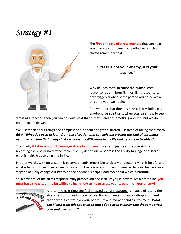# *Strategy #1*



The **first principle of stress mastery** that can help you manage your stress more effectively is this … always remember that:

#### **"Stress is not your enemy, it is your teacher."**

Why do I say that? Because the human stress response … our inborn fight or flight response … is only triggered when some part of you perceives a threat to your well-being.

And whether that threat is physical, psychological, emotional or spiritual … when you learn how to see

stress as a teacher, then you can find out what that threat is and do something about it. But we don't do that in life do we?

We just moan about things and complain about them and get frustrated … instead of taking the time to think *"What do I need to learn from this situation that can help me prevent the kind of automatic negative reaction that always just escalates the difficulties in my life and gets me in trouble?"*

That's why **it takes wisdom to manage stress in our lives** … we can't just rely on some simple breathing exercise or meditative technique. By definition, **wisdom is the ability to judge or discern what is right, true and lasting in life.** 

In other words, without wisdom it becomes nearly impossible to clearly understand what is helpful and what is harmful to us … yet alone to muster up the courage and strength needed to take the necessary steps to actually change our behavior and do what is helpful and avoid that which is harmful.

So in order to let the stress response truly protect you and instruct you in how to live a better life, **you must have the wisdom to be willing to learn how to make stress your teacher not your enemy!** 



And so, the next time you feel stressed out or frustrated … instead of letting the stress get to you and instead of reacting with anger or hurt or disappointment … that only puts a strain on your heart … take a moment and ask yourself, *"What can I learn from this situation so that I don't keep experiencing the same stress over and over again?"*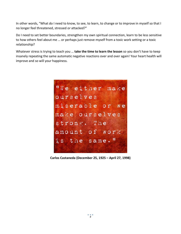In other words, "What do I need to know, to see, to learn, to change or to improve in myself so that I no longer feel threatened, stressed or attacked?"

Do I need to set better boundaries, strengthen my own spiritual connection, learn to be less sensitive to how others feel about me … or perhaps just remove myself from a toxic work setting or a toxic relationship?

Whatever stress is trying to teach you … **take the time to learn the lesson** so you don't have to keep insanely repeating the same automatic negative reactions over and over again! Your heart health will improve and so will your happiness.



**Carlos Castaneda (December 25, 1925 – April 27, 1998)**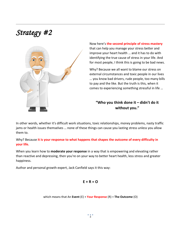## *Strategy #2*



Now here's **the second principle of stress mastery** that can help you manage your stress better and improve your heart health … and it has to do with identifying the true cause of stress in your life. And for most people, I think this is going to be bad news.

Why? Because we all want to blame our stress on external circumstances and toxic people in our lives … you know bad drivers, rude people, too many bills to pay and the like. But the truth is this, when it comes to experiencing something stressful in life …

#### **"Who you think done it – didn't do it without you."**

In other words, whether it's difficult work situations, toxic relationships, money problems, nasty traffic jams or health issues themselves … none of these things can cause you lasting stress unless you allow them to.

Why? Because **it is your response to what happens that shapes the outcome of every difficulty in your life.** 

When you learn how to **moderate your response** in a way that is empowering and elevating rather than reactive and depressing, then you're on your way to better heart health, less stress and greater happiness.

Author and personal growth expert, Jack Canfield says it this way:

$$
E + R = O
$$

which means that An **Event** (E) + **Your Response** (R) = **The Outcome** (O)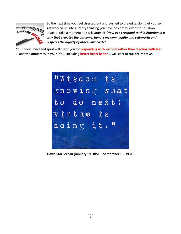

So the next time you feel stressed out and pushed to the edge, don't let yourself get worked up into a frenzy thinking you have no control over the situation. Instead, take a moment and ask yourself *"How can I respond to this situation in a way that elevates the outcome, honors my own dignity and self-worth and respects the dignity of others involved?"* 

Your body, mind and spirit will thank you for **responding with wisdom rather than reacting with fear** … and **the outcomes in your life** … including **better heart health** …will start to **rapidly improve**.



**David Star Jordan (January 19, 1851 – September 19, 1931)**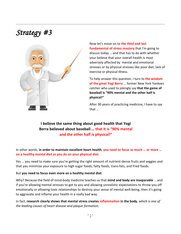## *Strategy #3*



Now let's move on to **the third and last fundamental of stress mastery** that I'm going to discuss today … and that has to do with whether your believe that your overall health is most adversely affected by mental and emotional stresses or by physical stresses like poor diet, lack of exercise or physical illness.

To help answer this question, I turn to **the wisdom of the great Yogi Berra** … former New York Yankees catcher who used to jokingly say **that the game of baseball is "90% mental and the other half is physical!"**

After 30 years of practicing medicine, I have to say that …

### **I believe the same thing about good health that Yogi Berra believed about baseball … that it is "90% mental and the other half is physical!"**

In other words, **in order to maintain excellent heart health**, **you need to focus as much … or more … on a healthy mental diet as you do on your physical diet.** 

Yes … you need to make sure you're getting the right amount of nutrient-dense fruits and veggies and that you minimize your exposure to high sugar foods, fatty foods, trans-fats, and fried foods.

#### But **you need to focus even more on a healthy mental diet**.

Why? Because the field of mind-body medicine teaches us that **mind and body are inseparable** … and if you're allowing mental stresses to get to you and allowing unrealistic expectations to throw you off emotionally or allowing toxic relationships to destroy your sense of mental well-being, then it's going to aggravate and inflame your health in a really bad way.

In fact, **research clearly shows that mental stress creates inflammation in the body**, *which is one of the leading causes of heart disease and plaque formation.*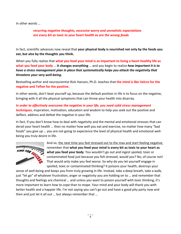In other words …

*recurring negative thoughts, excessive worry and unrealistic expectations are every bit as toxic to your heart health as are the wrong foods.*

In fact, scientific advances now reveal that **your physical body is nourished not only by the foods you eat, but also by the thoughts you think.** 

When you fully realize that **what you feed your mind is as important to living a heart healthy life as what you feed your body** … **it changes everything** … and you begin to realize *how important it is to have a stress management plan in place that systematically helps you attack the negativity that threatens your very well-being.* 

Bestselling author and neuroscientist Rick Hanson, Ph.D. teaches that **the mind is like Velcro for the negative and Teflon for the positive.**

In other words, don't beat yourself up, because the default position in life is to focus on the negative, bringing with it all the physical symptoms that can throw your health into disarray.

*In order to effectively overcome the negative in your life, you need solid stress management techniques*, inspiration, motivation, education and wisdom to help you seek out the positive and deflect, address and defeat the negative in your life.

In fact, if you don't know how to deal with negativity and the mental and emotional stresses that can derail your heart health … then no matter how well you eat and exercise, no matter how many "bad foods" you give up … you are not going to experience the level of physical health and emotional wellbeing you truly desire in life.



And so, the next time you feel stressed out to the max and start feeling negative, remember that **what you feed your mind is every bit as toxic to your heart as what you feed your body**. You wouldn't go out and ingest spoiled, toxic or contaminated food just because you felt stressed, would you? No, of course not! That would only make you feel worse. So why do you let yourself engage in spoiled, toxic or contaminated thinking? It poisons your health, destroys your

sense of well-being and keeps you from truly growing in life. Instead, take a deep breath, take a walk, just "let go" of whatever frustration, anger or negativity you are holding on to … and remember that thoughts and feelings are chemical … and unless you want to poison yourself with toxic thinking, it's more important to learn how to cope than to mope. Your mind and your body will thank you with better health and a happier life. I'm not saying you can't go out and have a good pity party now and then and just let it all out … but always remember that …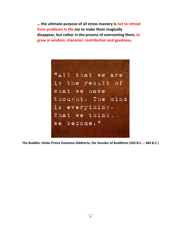**… the ultimate purpose of all stress mastery is not to retreat from problems in life nor to make them magically disappear, but rather in the process of overcoming them, to grow in wisdom, character, contribution and goodness.**



**The Buddha: Hindu Prince Gautama Siddharta, the founder of Buddhism (563 B.C. – 483 B.C.)**